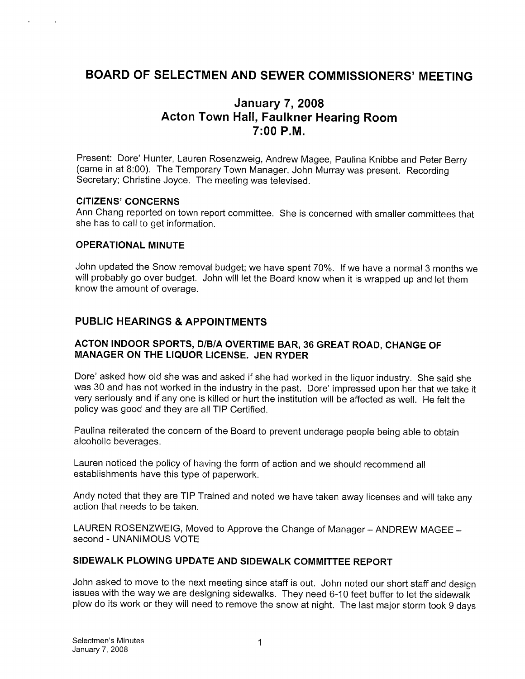# BOARD OF SELECTMEN AND SEWER COMMISSIONERS' MEETING

# January 7, 2008 Acton Town Hall, Faulkner Hearing Room 7:00 P.M.

Present: Dore' Hunter, Lauren Rosenzweig, Andrew Magee, Paulina Knibbe and Peter Berry (came in at 8:00). The Temporary Town Manager, John Murray was present. Recording Secretary; Christine Joyce. The meeting was televised.

#### CITIZENS' CONCERNS

Ann Chang reported on town report committee. She is concerned with smaller committees that she has to call to get information.

#### OPERATIONAL MINUTE

John updated the Snow removal budget; we have spent 70%. If we have a normal <sup>3</sup> months we will probably go over budget. John will let the Board know when it is wrapped up and let them know the amount of overage.

# PUBLIC HEARINGS & APPOINTMENTS

#### ACTON INDOOR SPORTS, DIBIA OVERTIME BAR, 36 GREAT ROAD, CHANGE OF MANAGER ON THE LIQUOR LICENSE. JEN RYDER

Dore' asked how old she was and asked if she had worked in the liquor industry. She said she was 30 and has not worked in the industry in the past. Dore' impressed upon her that we take it very seriously and if any one is killed or hurt the institution will be affected as well. He felt the policy was good and they are all TIP Certified.

Paulina reiterated the concern of the Board to prevent underage people being able to obtain alcoholic beverages.

Lauren noticed the policy of having the form of action and we should recommend all establishments have this type of paperwork.

Andy noted that they are TIP Trained and noted we have taken away licenses and will take any action that needs to be taken.

LAUREN ROSENZWEIG, Moved to Approve the Change of Manager — ANDREW MAGEE second - UNANIMOUS VOTE

#### SIDEWALK PLOWING UPDATE AND SIDEWALK COMMITTEE REPORT

John asked to move to the next meeting since staff is out. John noted our short staff and design issues with the way we are designing sidewalks. They need 6-10 feet buffer to let the sidewalk plow do its work or they will need to remove the snow at night. The last major storm took <sup>9</sup> days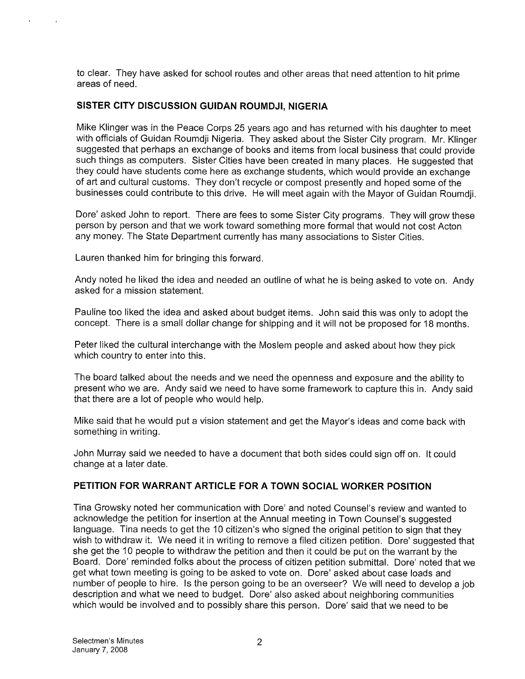to clear. They have asked for school routes and other areas that need attention to hit prime areas of need.

### SISTER CITY DISCUSSION GUIDAN ROUMDJI, NIGERIA

Mike Klinger was in the Peace Corps 25 years ago and has returned with his daughter to meet with officials of Guidan Roumdji Nigeria. They asked about the Sister City program. Mr. Klinger suggested that perhaps an exchange of books and items from local business that could provide such things as computers. Sister Cities have been created in many places. He suggested that they could have students come here as exchange students, which would provide an exchange of art and cultural customs. They don't recycle or compost presently and hoped some of the businesses could contribute to this drive. He will meet again with the Mayor of Guidan Roumdji.

Dore' asked John to report. There are fees to some Sister City programs. They will grow these person by person and that we work toward something more formal that would not cost Acton any money. The State Department currently has many associations to Sister Cities.

Lauren thanked him for bringing this forward.

Andy noted he liked the idea and needed an outline of what he is being asked to vote on. Andy asked for a mission statement.

Pauline too liked the idea and asked about budget items. John said this was only to adopt the concept. There is a small dollar change for shipping and it will not be proposed for 18 months.

Peter liked the cultural interchange with the Moslem people and asked about how they pick which country to enter into this.

The board talked about the needs and we need the openness and exposure and the ability to present who we are. Andy said we need to have some framework to capture this in. Andy said that there are a lot of people who would help.

Mike said that he would put a vision statement and get the Mayor's ideas and come back with something in writing.

John Murray said we needed to have a document that both sides could sign off on. It could change at a later date.

# PETITION FOR WARRANT ARTICLE FOR A TOWN SOCIAL WORKER POSITION

Tina Growsky noted her communication with Dore' and noted Counsel's review and wanted to acknowledge the petition for insertion at the Annual meeting in Town Counsel's suggested language. Tina needs to get the 10 citizen's who signed the original petition to sign that they wish to withdraw it. We need it in writing to remove a filed citizen petition. Dore' suggested that she get the 10 people to withdraw the petition and then it could be put on the warrant by the Board. Dore' reminded folks about the process of citizen petition submittal. Dore' noted that we get what town meeting is going to be asked to vote on. Dore' asked about case loads and number of people to hire. Is the person going to be an overseer? We will need to develop a job description and what we need to budget. Dore' also asked about neighboring communities which would be involved and to possibly share this person. Dore' said that we need to be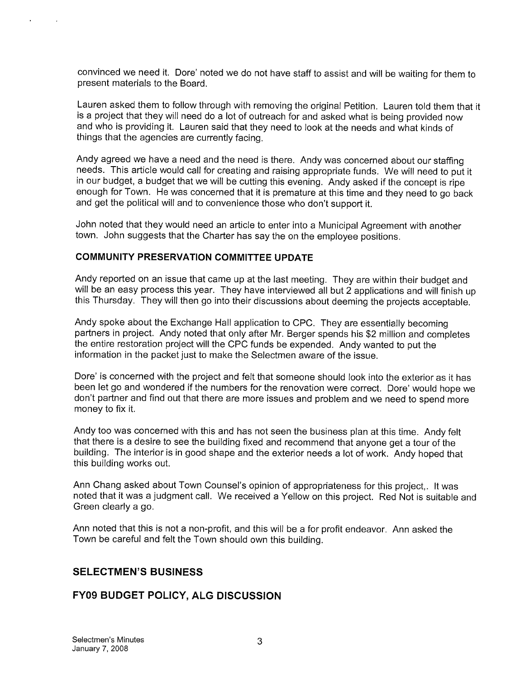convinced we need it. Dore' noted we do not have staff to assist and will be waiting for them to present materials to the Board.

Lauren asked them to follow through with removing the original Petition. Lauren told them that it is a project that they will need do a lot of outreach for and asked what is being provided now and who is providing it. Lauren said that they need to look at the needs and what kinds of things that the agencies are currently facing.

Andy agreed we have a need and the need is there. Andy was concerned about our staffing needs. This article would call for creating and raising appropriate funds. We will need to put it in our budget, a budget that we will be cutting this evening. Andy asked if the concept is ripe enough for Town. He was concerned that it is premature at this time and they need to go back and get the political will and to convenience those who don't support it.

John noted that they would need an article to enter into a Municipal Agreement with another town. John suggests that the Charter has say the on the employee positions.

#### COMMUNITY PRESERVATION COMMITTEE UPDATE

Andy reported on an issue that came up at the last meeting. They are within their budget and will be an easy process this year. They have interviewed all but <sup>2</sup> applications and will finish up this Thursday. They will then go into their discussions about deeming the projects acceptable.

Andy spoke about the Exchange Hall application to CPC. They are essentially becoming partners in project. Andy noted that only after Mr. Berger spends his \$2 million and completes the entire restoration project will the CPC funds be expended. Andy wanted to put the information in the packet just to make the Selectmen aware of the issue.

Dore' is concerned with the project and felt that someone should look into the exterior as it has been let go and wondered if the numbers for the renovation were correct. Dore' would hope we don't partner and find out that there are more issues and problem and we need to spend more money to fix it.

Andy too was concerned with this and has not seen the business plan at this time. Andy felt that there is a desire to see the building fixed and recommend that anyone get a tour of the building. The interior is in good shape and the exterior needs a lot of work. Andy hoped that this building works out.

Ann Chang asked about Town Counsel's opinion of appropriateness for this project,. It was noted that it was a judgment call. We received a Yellow on this project. Red Not is suitable and Green clearly a go.

Ann noted that this is not a non-profit, and this will be a for profit endeavor. Ann asked the Town be careful and felt the Town should own this building.

#### SELECTMEN'S BUSINESS

#### FY09 BUDGET POLICY, ALG DISCUSSION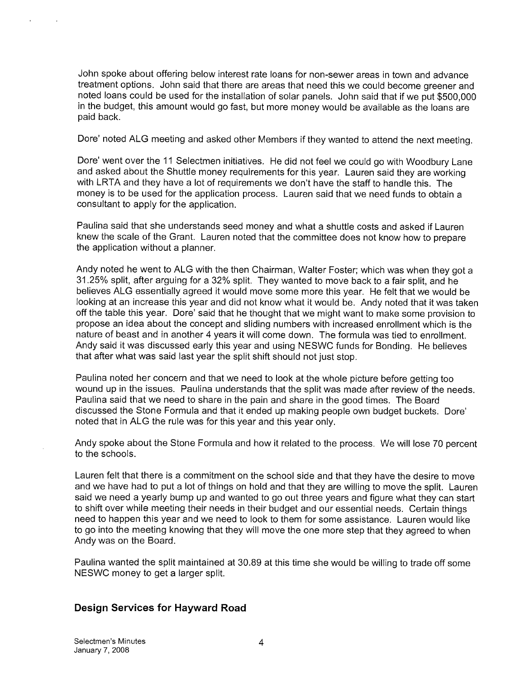John spoke about offering below interest rate loans for non-sewer areas in town and advance treatment options. John said that there are areas that need this we could become greener and noted loans could be used for the installation of solar panels. John said that if we put \$500,000 in the budget, this amount would go fast, but more money would be available as the loans are paid back.

Dore' noted ALG meeting and asked other Members if they wanted to attend the next meeting.

Dare' went over the <sup>11</sup> Selectmen initiatives. He did not feel we could go with Woodbury Lane and asked about the Shuttle money requirements for this year. Lauren said they are working with LRTA and they have a lot of requirements we don't have the staff to handle this. The money is to be used for the application process. Lauren said that we need funds to obtain a consultant to apply for the application.

Paulina said that she understands seed money and what a shuttle costs and asked if Lauren knew the scale of the Grant. Lauren noted that the committee does not know how to prepare the application without a planner.

Andy noted he went to ALG with the then Chairman, Walter Foster; which was when they got a 31.25% split, after arguing for a 32% split. They wanted to move back to a fair split, and he believes ALG essentially agreed it would move some more this year. He felt that we would be looking at an increase this year and did not know what it would be. Andy noted that it was taken off the table this year. Dore' said that he thought that we might want to make some provision to propose an idea about the concept and sliding numbers with increased enrollment which is the nature of beast and in another 4 years it will come down. The formula was tied to enrollment. Andy said it was discussed early this year and using NESWC funds for Bonding. He believes that after what was said last year the split shift should not just stop.

Paulina noted her concern and that we need to look at the whole picture before getting too wound up in the issues. Paulina understands that the split was made after review of the needs. Paulina said that we need to share in the pain and share in the good times. The Board discussed the Stone Formula and that it ended up making people own budget buckets. Dore' noted that in ALG the rule was for this year and this year only.

Andy spoke about the Stone Formula and how it related to the process. We will lose 70 percent to the schools.

Lauren felt that there is a commitment on the school side and that they have the desire to move and we have had to put a lot of things on hold and that they are willing to move the split. Lauren said we need a yearly bump up and wanted to go out three years and figure what they can start to shift over while meeting their needs in their budget and our essential needs. Certain things need to happen this year and we need to look to them for some assistance. Lauren would like to go into the meeting knowing that they will move the one more step that they agreed to when Andy was on the Board.

Paulina wanted the split maintained at 30.89 at this time she would be willing to trade off some NESWC money to get a larger split.

# Design Services for Hayward Road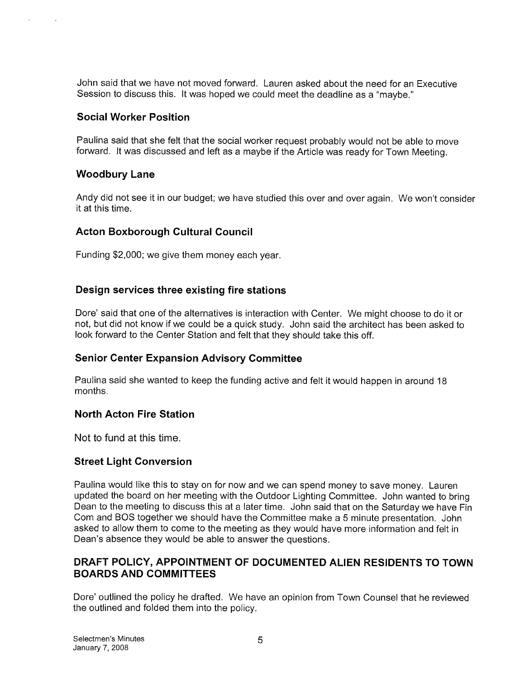John said that we have not moved forward. Lauren asked about the need for an Executive Session to discuss this. It was hoped we could meet the deadline as a "maybe."

# Social Worker Position

Paulina said that she felt that the social worker request probably would not be able to move forward. It was discussed and left as a maybe if the Article was ready for Town Meeting.

# Woodbury Lane

Andy did not see it in our budget; we have studied this over and over again. We won't consider it at this time.

# Acton Boxborough Cultural Council

Funding \$2,000; we give them money each year.

# Design services three existing fire stations

Dore' said that one of the alternatives is interaction with Center. We might choose to do it or not, but did not know if we could be a quick study. John said the architect has been asked to look forward to the Center Station and felt that they should take this off.

# Senior Center Expansion Advisory Committee

Paulina said she wanted to keep the funding active and felt it would happen in around 18 months.

# North Acton Fire Station

Not to fund at this time.

# Street Light Conversion

Paulina would like this to stay on for now and we can spend money to save money. Lauren updated the board on her meeting with the Outdoor Lighting Committee. John wanted to bring Dean to the meeting to discuss this at a later time. John said that on the Saturday we have Fin Corn and BOS together we should have the Committee make a <sup>5</sup> minute presentation. John asked to allow them to come to the meeting as they would have more information and felt in Dean's absence they would be able to answer the questions.

# DRAFT POLICY, APPOINTMENT OF DOCUMENTED ALIEN RESIDENTS TO TOWN BOARDS AND COMMITTEES

Dore' outlined the policy he drafted. We have an opinion from Town Counsel that he reviewed the outlined and folded them into the policy.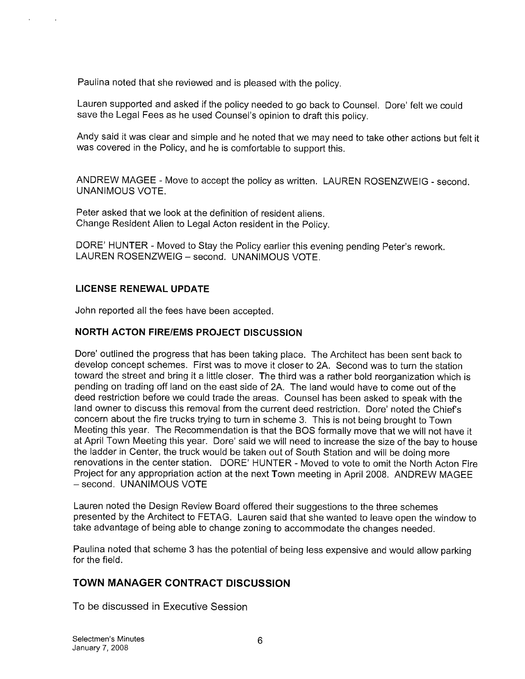Paulina noted that she reviewed and is pleased with the policy.

Lauren supported and asked if the policy needed to go back to Counsel. Dore' felt we could save the Legal Fees as he used Counsel's opinion to draft this policy.

Andy said it was clear and simple and he noted that we may need to take other actions but felt it was covered in the Policy, and he is comfortable to support this.

ANDREW MAGEE - Move to accept the policy as written. LAUREN ROSENZWEIG - second. UNANIMOUS VOTE.

Peter asked that we look at the definition of resident aliens. Change Resident Alien to Legal Acton resident in the Policy.

DORE' HUNTER - Moved to Stay the Policy earlier this evening pending Peter's rework. LAUREN ROSENZWEIG - second. UNANIMOUS VOTE.

#### LICENSE RENEWAL UPDATE

John reported all the fees have been accepted.

# NORTH ACTON FIRE/EMS PROJECT DISCUSSION

Dore' outlined the progress that has been taking place. The Architect has been sent back to develop concept schemes. First was to move it closer to 2A. Second was to turn the station toward the street and bring it a little closer. The third was a rather bold reorganization which is pending on trading off land on the east side of 2A. The land would have to come out of the deed restriction before we could trade the areas. Counsel has been asked to speak with the land owner to discuss this removal from the current deed restriction. Dore' noted the Chief's concern about the fire trucks trying to turn in scheme 3. This is not being brought to Town Meeting this year. The Recommendation is that the BOS formally move that we will not have it at April Town Meeting this year. Dore' said we will need to increase the size of the bay to house the ladder in Center, the truck would be taken out of South Station and will be doing more renovations in the center station. DORE' HUNTER - Moved to vote to omit the North Acton Fire Project for any appropriation action at the next Town meeting in April 2008. ANDREW MAGEE — second. UNANIMOUS VOTE

Lauren noted the Design Review Board offered their suggestions to the three schemes presented by the Architect to FETAG. Lauren said that she wanted to leave open the window to take advantage of being able to change zoning to accommodate the changes needed.

Paulina noted that scheme 3 has the potential of being less expensive and would allow parking for the field.

# TOWN MANAGER CONTRACT DISCUSSION

To be discussed in Executive Session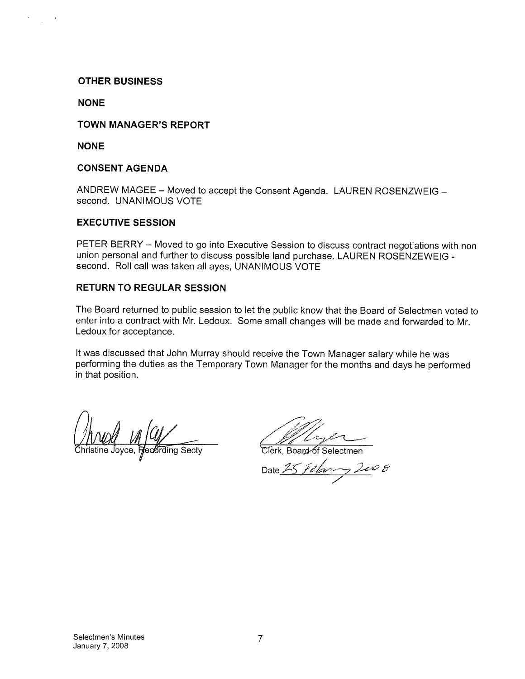#### OTHER BUSINESS

**NONE** 

#### TOWN MANAGER'S REPORT

NONE

#### CONSENT AGENDA

ANDREW MAGEE — Moved to accept the Consent Agenda. LAUREN ROSENZWEIG second. UNANIMOUS VOTE

#### EXECUTIVE SESSION

PETER BERRY — Moved to go into Executive Session to discuss contract negotiations with non union personal and further to discuss possible land purchase. LAUREN ROSENZEWEIG second. Roll call was taken all ayes, UNANIMOUS VOTE

#### RETURN TO REGULAR SESSION

The Board returned to public session to let the public know that the Board of Selectmen voted to enter into a contract with Mr. Ledoux. Some small changes will be made and forwarded to Mr. Ledoux for acceptance.

It was discussed that John Murray should receive the Town Manager salary while he was performing the duties as the Temporary Town Manager for the months and days he performed in that position.

*()*<br>Mwali

e contraction of Secty Trench Clerk, Board of Selectmen

Date 25 February 20 V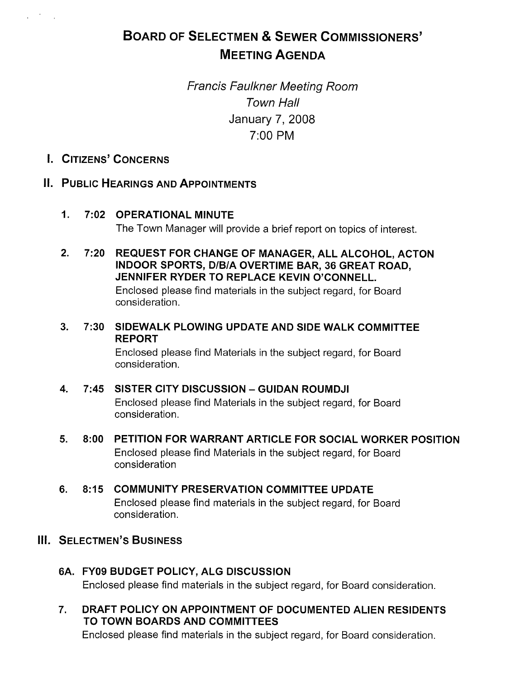# BOARD OF SELECTMEN & SEWER COMMISSIONERS' MEETING AGENDA

Francis Faulkner Meeting Room Town Hall January 7, 2008 7:00 PM

I. CITIZENS' CONCERNS

 $\mathcal{L}^{\text{max}}$  , where  $\mathcal{L}^{\text{max}}$ 

# II. PUBLIC HEARINGs AND APPOINTMENTS

- 1. 7:02 OPERATIONAL MINUTE The Town Manager will provide a brief report on topics of interest.
- 2. 7:20 REQUEST FOR CHANGE OF MANAGER, ALL ALCOHOL, ACTON INDOOR SPORTS, D/BIA OVERTIME BAR, 36 GREAT ROAD, JENNIFER RYDER TO REPLACE KEVIN O'CONNELL. Enclosed please find materials in the subject regard, for Board consideration.
- 3. 7:30 SIDEWALK PLOWING UPDATE AND SIDE WALK COMMITTEE REPORT

Enclosed please find Materials in the subject regard, for Board consideration.

### 4. 7:45 SISTER CITY DISCUSSION — GUIDAN ROUMDJI Enclosed please find Materials in the subject regard, for Board consideration.

- 5. 8:00 PETITION FOR WARRANT ARTICLE FOR SOCIAL WORKER POSITION Enclosed please find Materials in the subject regard, for Board consideration
- 6. 8:15 COMMUNITY PRESERVATION COMMITTEE UPDATE Enclosed please find materials in the subject regard, for Board consideration.
- III. SELECTMEN'S BUSINESS
	- 6A. FY09 BUDGET POLICY, ALG DISCUSSION Enclosed please find materials in the subject regard, for Board consideration.
	- 7. DRAFT POLICY ON APPOINTMENT OF DOCUMENTED ALIEN RESIDENTS TO TOWN BOARDS AND COMMITTEES

Enclosed please find materials in the subject regard, for Board consideration.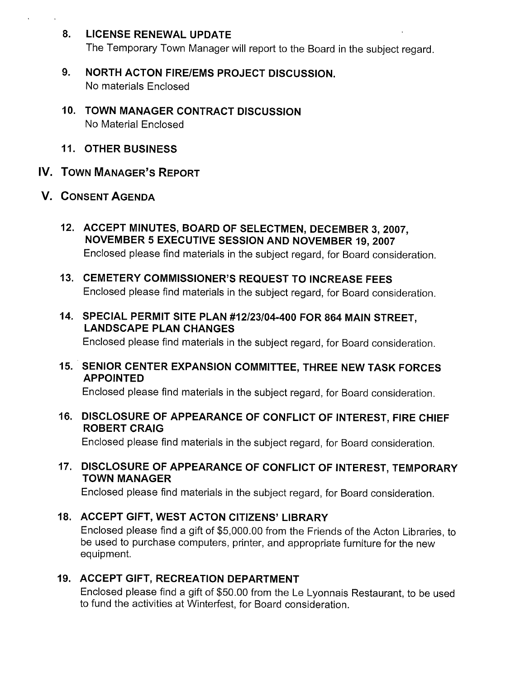# 8. LICENSE RENEWAL UPDATE

The Temporary Town Manager will report to the Board in the subject regard.

- 9. NORTH ACTON FIRE/EMS PROJECT DISCUSSION. No materials Enclosed
- 10. TOWN MANAGER CONTRACT DISCUSSION No Material Enclosed
- 11. OTHER BUSINESS
- IV. TOWN MANAGER'S REPORT
- V. CONSENT AGENDA
	- 12. ACCEPT MINUTES, BOARD OF SELECTMEN, DECEMBER 3, 2007, NOVEMBER 5 EXECUTIVE SESSION AND NOVEMBER 19, 2007 Enclosed please find materials in the subject regard, for Board consideration.
	- 13. CEMETERY COMMISSIONER'S REQUEST TO INCREASE FEES Enclosed please find materials in the subject regard, for Board consideration.
	- 14. SPECIAL PERMIT SITE PLAN #12/23/04-400 FOR 864 MAIN STREET, LANDSCAPE PLAN CHANGES

Enclosed please find materials in the subject regard, for Board consideration.

15. SENIOR CENTER EXPANSION COMMITTEE, THREE NEW TASK FORCES APPOINTED

Enclosed please find materials in the subject regard, for Board consideration.

16. DISCLOSURE OF APPEARANCE OF CONFLICT OF INTEREST, FIRE CHIEF ROBERT CRAIG

Enclosed please find materials in the subject regard, for Board consideration.

17. DISCLOSURE OF APPEARANCE OF CONFLICT OF INTEREST, TEMPORARY TOWN MANAGER

Enclosed please find materials in the subject regard, for Board consideration.

# 18. ACCEPT GIFT, WEST ACTON CITIZENS' LIBRARY

Enclosed please find a gift of \$5,000.00 from the Friends of the Acton Libraries, to be used to purchase computers, printer, and appropriate furniture for the new equipment.

# 19. ACCEPT GIFT, RECREATION DEPARTMENT

Enclosed please find a gift of \$50.00 from the Le Lyonnais Restaurant, to be used to fund the activities at Winterfest, for Board consideration.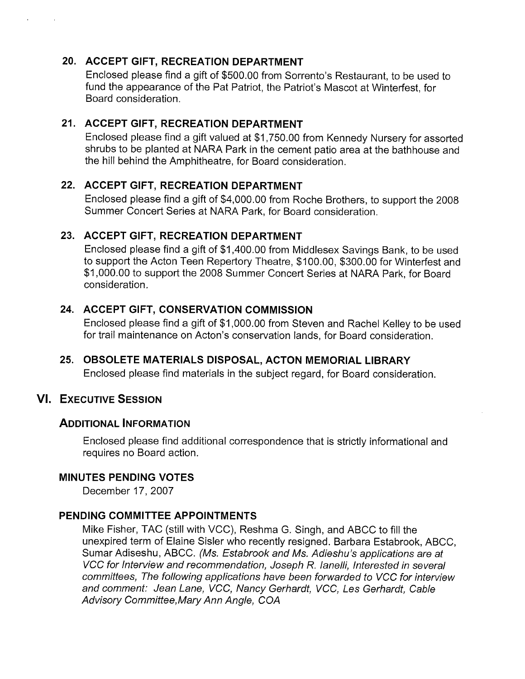# 20. ACCEPT GIFT, RECREATION DEPARTMENT

Enclosed please find a gift of \$500.00 from Sorrento's Restaurant, to be used to fund the appearance of the Pat Patriot, the Patriot's Mascot at Winterfest, for Board consideration.

# 21. ACCEPT GIFT, RECREATION DEPARTMENT

Enclosed please find a gift valued at \$1,750.00 from Kennedy Nursery for assorted shrubs to be planted at NARA Park in the cement patio area at the bathhouse and the hill behind the Amphitheatre, for Board consideration.

# 22. ACCEPT GIFT, RECREATION DEPARTMENT

Enclosed please find a gift of \$4,000.00 from Roche Brothers, to support the 2008 Summer Concert Series at NARA Park, for Board consideration.

# 23. ACCEPT GIFT, RECREATION DEPARTMENT

Enclosed please find a gift of \$1,400.00 from Middlesex Savings Bank, to be used to support the Acton Teen Repertory Theatre, \$100.00, \$300.00 for Winterfest and \$1,000.00 to support the 2008 Summer Concert Series at NARA Park, for Board consideration.

# 24. ACCEPT GIFT, CONSERVATION COMMISSION

Enclosed please find a gift of \$1,000.00 from Steven and Rachel Kelley to be used for trail maintenance on Acton's conservation lands, for Board consideration.

25. OBSOLETE MATERIALS DISPOSAL, ACTON MEMORIAL LIBRARY Enclosed please find materials in the subject regard, for Board consideration.

# VI. ExEcuTivE SESSION

# ADDITIONAL INFORMATION

Enclosed please find additional correspondence that is strictly informational and requires no Board action.

# MINUTES PENDING VOTES

December 17, 2007

# PENDING COMMITTEE APPOINTMENTS

Mike Fisher, TAG (still with VCC), Reshma G. Singh, and ABCC to fill the unexpired term of Elaine Sisler who recently resigned. Barbara Estabrook, ABCC, Sumar Adiseshu, ABCC. (Ms. Estabrook and Ms. Adieshu's applications are at VCC for Interview and recommendation, Joseph R. Ianelli, Interested in several committees, The following applications have been forwarded to VCC for interview and comment: Jean Lane, VCC, Nancy Gerhardt, VCC, Les Gerhardt, Cable Advisory Committee,Mary Ann Angle, COA